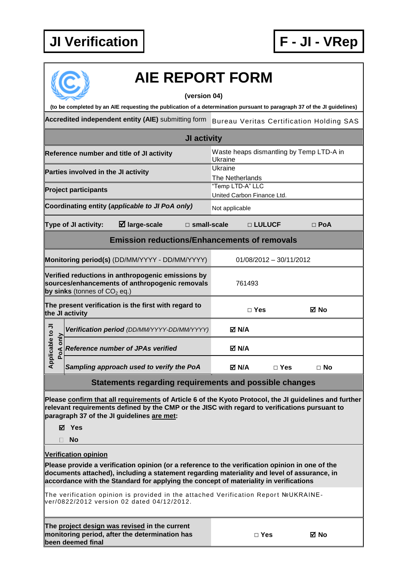

|                |          |                                     | <b>AIE REPORT FORM</b><br>(to be completed by an AIE requesting the publication of a determination pursuant to paragraph 37 of the JI guidelines)                                                                                                                                       | (version 04)          |                                                |            |                           |                                                 |  |
|----------------|----------|-------------------------------------|-----------------------------------------------------------------------------------------------------------------------------------------------------------------------------------------------------------------------------------------------------------------------------------------|-----------------------|------------------------------------------------|------------|---------------------------|-------------------------------------------------|--|
|                |          |                                     | Accredited independent entity (AIE) submitting form                                                                                                                                                                                                                                     |                       |                                                |            |                           | <b>Bureau Veritas Certification Holding SAS</b> |  |
|                |          |                                     |                                                                                                                                                                                                                                                                                         | JI activity           |                                                |            |                           |                                                 |  |
|                |          |                                     | Reference number and title of JI activity                                                                                                                                                                                                                                               |                       | Ukraine                                        |            |                           | Waste heaps dismantling by Temp LTD-A in        |  |
|                |          | Parties involved in the JI activity |                                                                                                                                                                                                                                                                                         |                       | Ukraine<br><b>The Netherlands</b>              |            |                           |                                                 |  |
|                |          | <b>Project participants</b>         |                                                                                                                                                                                                                                                                                         |                       | "Temp LTD-A" LLC<br>United Carbon Finance Ltd. |            |                           |                                                 |  |
|                |          |                                     | Coordinating entity (applicable to JI PoA only)                                                                                                                                                                                                                                         |                       | Not applicable                                 |            |                           |                                                 |  |
|                |          | Type of JI activity:                | $\boxtimes$ large-scale                                                                                                                                                                                                                                                                 | $\square$ small-scale |                                                | □ LULUCF   |                           | $\Box$ PoA                                      |  |
|                |          |                                     | <b>Emission reductions/Enhancements of removals</b>                                                                                                                                                                                                                                     |                       |                                                |            |                           |                                                 |  |
|                |          |                                     | Monitoring period(s) (DD/MM/YYYY - DD/MM/YYYY)                                                                                                                                                                                                                                          |                       |                                                |            | $01/08/2012 - 30/11/2012$ |                                                 |  |
|                |          | by sinks (tonnes of $CO2$ eq.)      | Verified reductions in anthropogenic emissions by<br>sources/enhancements of anthropogenic removals                                                                                                                                                                                     |                       |                                                | 761493     |                           |                                                 |  |
|                |          | the JI activity                     | The present verification is the first with regard to                                                                                                                                                                                                                                    |                       |                                                | $\Box$ Yes |                           | ⊠ No                                            |  |
|                |          |                                     | Verification period (DD/MM/YYYY-DD/MM/YYYY)                                                                                                                                                                                                                                             |                       | M N/A                                          |            |                           |                                                 |  |
| plicable to JI | PoA only |                                     | <b>Reference number of JPAs verified</b>                                                                                                                                                                                                                                                |                       | M N/A                                          |            |                           |                                                 |  |
| 훅              |          |                                     | Sampling approach used to verify the PoA                                                                                                                                                                                                                                                |                       | M N/A                                          |            | $\Box$ Yes                | $\Box$ No                                       |  |
|                |          |                                     | Statements regarding requirements and possible changes                                                                                                                                                                                                                                  |                       |                                                |            |                           |                                                 |  |
|                |          | <b>⊠</b> Yes<br><b>No</b>           | Please confirm that all requirements of Article 6 of the Kyoto Protocol, the JI guidelines and further<br>relevant requirements defined by the CMP or the JISC with regard to verifications pursuant to<br>paragraph 37 of the JI guidelines are met:                                   |                       |                                                |            |                           |                                                 |  |
|                |          | <b>Verification opinion</b>         |                                                                                                                                                                                                                                                                                         |                       |                                                |            |                           |                                                 |  |
|                |          |                                     | Please provide a verification opinion (or a reference to the verification opinion in one of the<br>documents attached), including a statement regarding materiality and level of assurance, in<br>accordance with the Standard for applying the concept of materiality in verifications |                       |                                                |            |                           |                                                 |  |

The verification opinion is provided in the attached Verification Report №UKRAINEver/0822/2012 version 02 dated 04/12/2012.

| The project design was revised in the current  |
|------------------------------------------------|
| monitoring period, after the determination has |
| been deemed final                              |

| ×<br>۰.<br>v<br>۹ |
|-------------------|
|-------------------|

**□ Yes No**